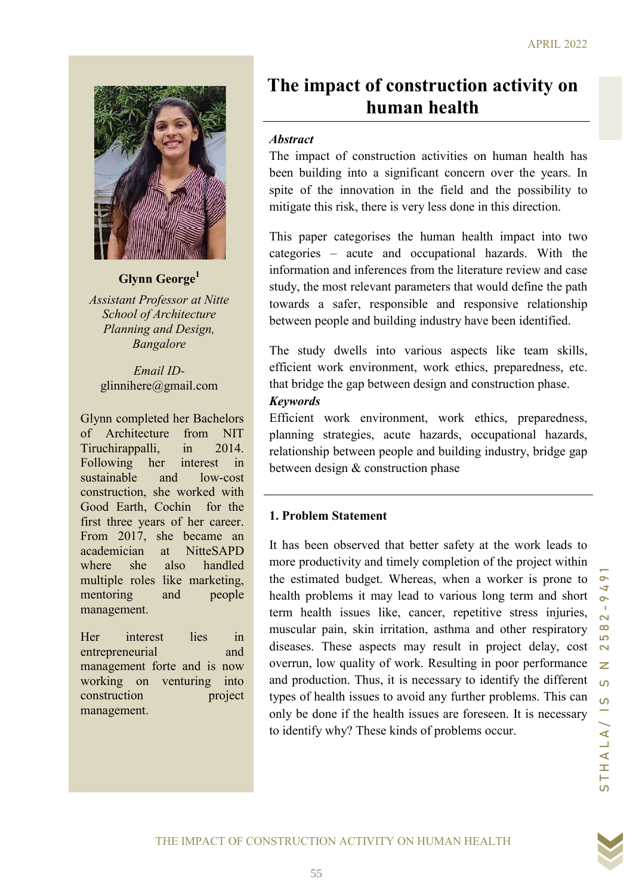

### Glynn George<sup>1</sup>

Assistant Professor at Nitte School of Architecture Planning and Design, Bangalore

Email IDglinnihere@gmail.com

Glynn completed her Bachelors of Architecture from NIT Tiruchirappalli, in 2014. Following her interest in sustainable and low-cost construction, she worked with Good Earth, Cochin for the first three years of her career. From 2017, she became an academician at NitteSAPD where she also handled multiple roles like marketing, mentoring and people management.

Her interest lies in entrepreneurial and management forte and is now working on venturing into construction project management.

# The impact of construction activity on human health

### **Abstract**

The impact of construction activities on human health has been building into a significant concern over the years. In spite of the innovation in the field and the possibility to mitigate this risk, there is very less done in this direction.

This paper categorises the human health impact into two categories – acute and occupational hazards. With the information and inferences from the literature review and case study, the most relevant parameters that would define the path towards a safer, responsible and responsive relationship between people and building industry have been identified.

The study dwells into various aspects like team skills, efficient work environment, work ethics, preparedness, etc. that bridge the gap between design and construction phase.

### Keywords

Efficient work environment, work ethics, preparedness, planning strategies, acute hazards, occupational hazards, relationship between people and building industry, bridge gap between design & construction phase

### 1. Problem Statement

Because the total that the transmistion of the state of the state of the state of the state of the state of the state of the state of the state of the state of the state of the state of the state of the state of the state It has been observed that better safety at the work leads to more productivity and timely completion of the project within the estimated budget. Whereas, when a worker is prone to health problems it may lead to various long term and short term health issues like, cancer, repetitive stress injuries, muscular pain, skin irritation, asthma and other respiratory diseases. These aspects may result in project delay, cost overrun, low quality of work. Resulting in poor performance and production. Thus, it is necessary to identify the different types of health issues to avoid any further problems. This can only be done if the health issues are foreseen. It is necessary to identify why? These kinds of problems occur.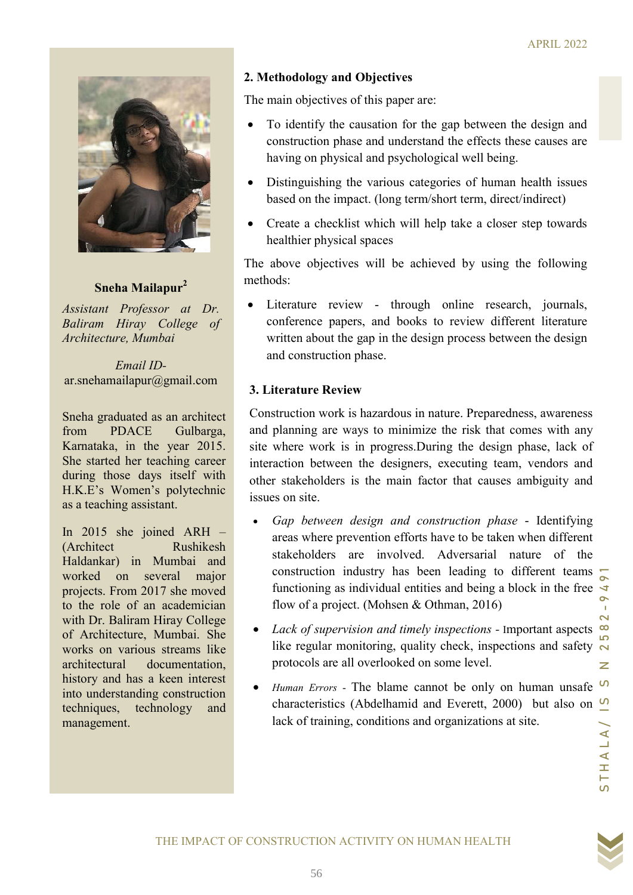

# Sneha Mailapur<sup>2</sup>

Assistant Professor at Dr. Baliram Hiray College of Architecture, Mumbai

Email IDar.snehamailapur@gmail.com

Sneha graduated as an architect from PDACE Gulbarga, Karnataka, in the year 2015. She started her teaching career during those days itself with H.K.E's Women's polytechnic as a teaching assistant.

In 2015 she joined ARH – (Architect Rushikesh Haldankar) in Mumbai and worked on several major projects. From 2017 she moved to the role of an academician with Dr. Baliram Hiray College of Architecture, Mumbai. She works on various streams like architectural documentation, history and has a keen interest into understanding construction techniques, technology and management.

# 2. Methodology and Objectives

The main objectives of this paper are:

- To identify the causation for the gap between the design and construction phase and understand the effects these causes are having on physical and psychological well being.
- Distinguishing the various categories of human health issues based on the impact. (long term/short term, direct/indirect)
- Create a checklist which will help take a closer step towards healthier physical spaces

The above objectives will be achieved by using the following methods:

 Literature review - through online research, journals, conference papers, and books to review different literature written about the gap in the design process between the design and construction phase.

# 3. Literature Review

Construction work is hazardous in nature. Preparedness, awareness and planning are ways to minimize the risk that comes with any site where work is in progress.During the design phase, lack of interaction between the designers, executing team, vendors and other stakeholders is the main factor that causes ambiguity and issues on site.

- For at Dr.<br>
 Literature review through online research, journals,<br>
conference pures, and books to review different literature<br>
the design process between the design<br>mail.com<br>
2. Literature Review<br>
2. Subseques and plan • Gap between design and construction phase - Identifying areas where prevention efforts have to be taken when different stakeholders are involved. Adversarial nature of the construction industry has been leading to different teams functioning as individual entities and being a block in the free flow of a project. (Mohsen & Othman, 2016)
	- Lack of supervision and timely inspections Important aspects  $\infty$ like regular monitoring, quality check, inspections and safety  $\overline{N}$ protocols are all overlooked on some level.
	- Human Errors The blame cannot be only on human unsafe  $\Omega$ characteristics (Abdelhamid and Everett, 2000) but also on  $\frac{0}{2}$ lack of training, conditions and organizations at site.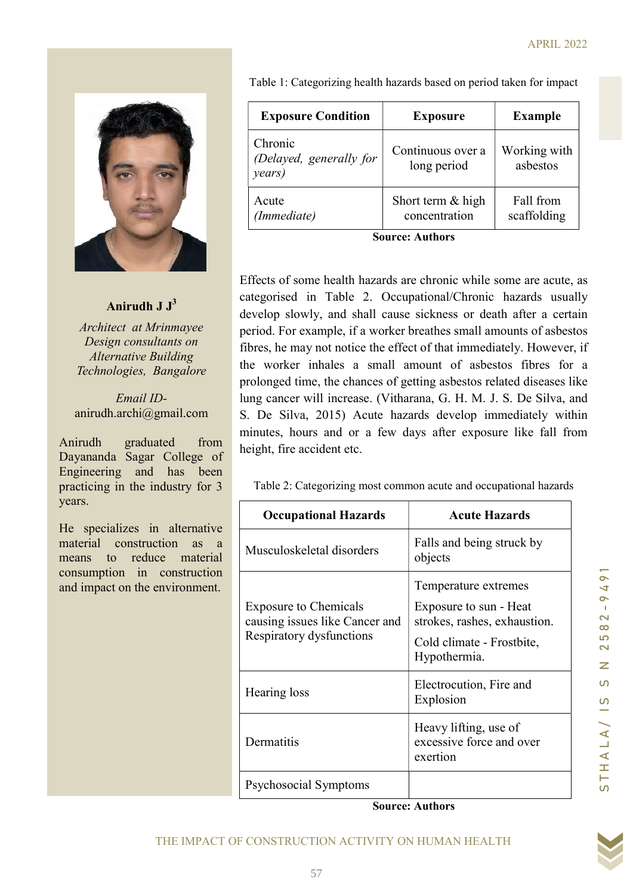

# Anirudh  $J J<sup>3</sup>$

Architect at Mrinmayee Design consultants on Alternative Building Technologies, Bangalore

Email IDanirudh.archi@gmail.com

Anirudh graduated from Dayananda Sagar College of Engineering and has been practicing in the industry for 3 years.

He specializes in alternative material construction as a means to reduce material consumption in construction and impact on the environment.

Table 1: Categorizing health hazards based on period taken for impact

| <b>Exposure Condition</b>                    | <b>Exposure</b>                    | <b>Example</b>           |  |  |  |  |
|----------------------------------------------|------------------------------------|--------------------------|--|--|--|--|
| Chronic<br>(Delayed, generally for<br>years) | Continuous over a<br>long period   | Working with<br>asbestos |  |  |  |  |
| Acute<br>(Immediate)                         | Short term & high<br>concentration | Fall from<br>scaffolding |  |  |  |  |
| <b>Source: Authors</b>                       |                                    |                          |  |  |  |  |

Effects of some health hazards are chronic while some are acute, as categorised in Table 2. Occupational/Chronic hazards usually develop slowly, and shall cause sickness or death after a certain period. For example, if a worker breathes small amounts of asbestos fibres, he may not notice the effect of that immediately. However, if the worker inhales a small amount of asbestos fibres for a prolonged time, the chances of getting asbestos related diseases like lung cancer will increase. (Vitharana, G. H. M. J. S. De Silva, and S. De Silva, 2015) Acute hazards develop immediately within minutes, hours and or a few days after exposure like fall from height, fire accident etc.

| J J <sup>3</sup>                                                                                                                                        | categorised in Table 2. Occupational/Chronic hazards usually                                                                                                                                                                                                                                                                                                                                                                                                                                                                                                                                                                                                       |                                                                                                                             |                                                                                                |  |
|---------------------------------------------------------------------------------------------------------------------------------------------------------|--------------------------------------------------------------------------------------------------------------------------------------------------------------------------------------------------------------------------------------------------------------------------------------------------------------------------------------------------------------------------------------------------------------------------------------------------------------------------------------------------------------------------------------------------------------------------------------------------------------------------------------------------------------------|-----------------------------------------------------------------------------------------------------------------------------|------------------------------------------------------------------------------------------------|--|
| <i>rinmayee</i><br>ltants on<br>uilding<br><b>Bangalore</b><br>$\overline{D}$ -<br>gmail.com<br>ated<br>from<br>College of<br>has been<br>ndustry for 3 | develop slowly, and shall cause sickness or death after a certain<br>period. For example, if a worker breathes small amounts of asbestos<br>fibres, he may not notice the effect of that immediately. However, if<br>the worker inhales a small amount of asbestos fibres for a<br>prolonged time, the chances of getting asbestos related diseases like<br>lung cancer will increase. (Vitharana, G. H. M. J. S. De Silva, and<br>S. De Silva, 2015) Acute hazards develop immediately within<br>minutes, hours and or a few days after exposure like fall from<br>height, fire accident etc.<br>Table 2: Categorizing most common acute and occupational hazards |                                                                                                                             |                                                                                                |  |
|                                                                                                                                                         | <b>Occupational Hazards</b>                                                                                                                                                                                                                                                                                                                                                                                                                                                                                                                                                                                                                                        | <b>Acute Hazards</b>                                                                                                        |                                                                                                |  |
| n alternative<br>ction as a<br>ce material                                                                                                              | Musculoskeletal disorders                                                                                                                                                                                                                                                                                                                                                                                                                                                                                                                                                                                                                                          | Falls and being struck by<br>objects                                                                                        |                                                                                                |  |
| construction<br>environment.                                                                                                                            | <b>Exposure to Chemicals</b><br>causing issues like Cancer and<br>Respiratory dysfunctions                                                                                                                                                                                                                                                                                                                                                                                                                                                                                                                                                                         | Temperature extremes<br>Exposure to sun - Heat<br>strokes, rashes, exhaustion.<br>Cold climate - Frostbite,<br>Hypothermia. | $\sim$<br>Þ<br>$\overline{a}$<br>T.<br>$\overline{\mathbf{C}}$<br>$\infty$<br>5<br>$\sim$<br>Z |  |
|                                                                                                                                                         | Hearing loss                                                                                                                                                                                                                                                                                                                                                                                                                                                                                                                                                                                                                                                       | Electrocution, Fire and<br>Explosion                                                                                        | $\Omega$<br>S                                                                                  |  |
|                                                                                                                                                         | Dermatitis                                                                                                                                                                                                                                                                                                                                                                                                                                                                                                                                                                                                                                                         | Heavy lifting, use of<br>excessive force and over<br>exertion                                                               | THALA                                                                                          |  |
|                                                                                                                                                         | Psychosocial Symptoms                                                                                                                                                                                                                                                                                                                                                                                                                                                                                                                                                                                                                                              |                                                                                                                             | $\Omega$                                                                                       |  |
|                                                                                                                                                         |                                                                                                                                                                                                                                                                                                                                                                                                                                                                                                                                                                                                                                                                    | <b>Source: Authors</b>                                                                                                      |                                                                                                |  |
|                                                                                                                                                         | THE IMPACT OF CONSTRUCTION ACTIVITY ON HUMAN HEALTH                                                                                                                                                                                                                                                                                                                                                                                                                                                                                                                                                                                                                |                                                                                                                             |                                                                                                |  |
|                                                                                                                                                         |                                                                                                                                                                                                                                                                                                                                                                                                                                                                                                                                                                                                                                                                    |                                                                                                                             |                                                                                                |  |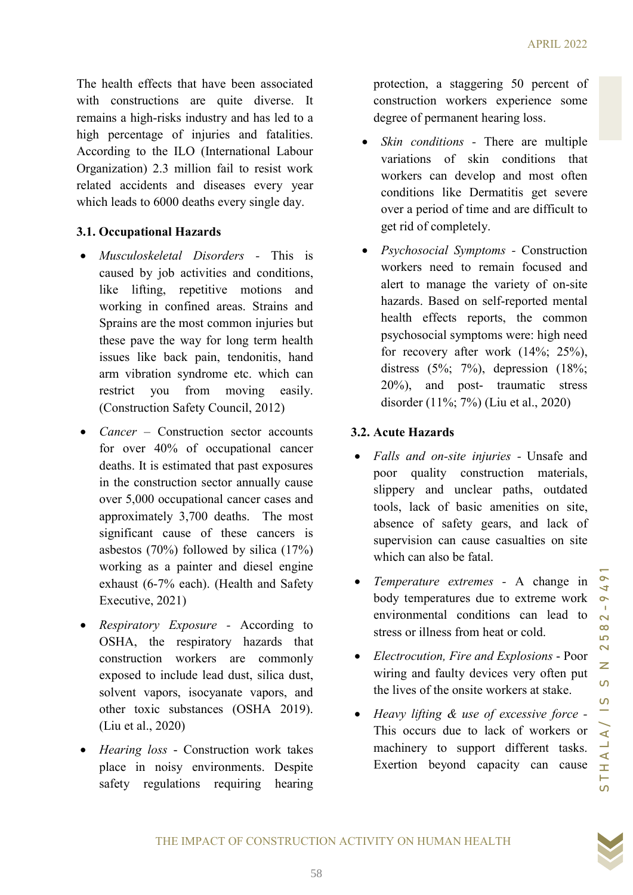The health effects that have been associated with constructions are quite diverse. It remains a high-risks industry and has led to a high percentage of injuries and fatalities. According to the ILO (International Labour Organization) 2.3 million fail to resist work related accidents and diseases every year which leads to 6000 deaths every single day.

# 3.1. Occupational Hazards

- Musculoskeletal Disorders This is caused by job activities and conditions, like lifting, repetitive motions and working in confined areas. Strains and Sprains are the most common injuries but these pave the way for long term health issues like back pain, tendonitis, hand arm vibration syndrome etc. which can restrict you from moving easily. (Construction Safety Council, 2012)
- 1 confined areas. Strains and hearts! Based on self-reported mental the most common injurities but heat particle in the most control in specified mental in the most control in specified in the most particle in the most pa • *Cancer* – Construction sector accounts for over 40% of occupational cancer deaths. It is estimated that past exposures in the construction sector annually cause over 5,000 occupational cancer cases and approximately 3,700 deaths. The most significant cause of these cancers is asbestos (70%) followed by silica (17%) working as a painter and diesel engine exhaust (6-7% each). (Health and Safety Executive, 2021)
- Respiratory Exposure According to OSHA, the respiratory hazards that construction workers are commonly exposed to include lead dust, silica dust, solvent vapors, isocyanate vapors, and other toxic substances (OSHA 2019). (Liu et al., 2020)
- Hearing loss Construction work takes place in noisy environments. Despite safety regulations requiring hearing

protection, a staggering 50 percent of construction workers experience some degree of permanent hearing loss.

- *Skin conditions* There are multiple variations of skin conditions that workers can develop and most often conditions like Dermatitis get severe over a period of time and are difficult to get rid of completely.
- *Psychosocial Symptoms* Construction workers need to remain focused and alert to manage the variety of on-site hazards. Based on self-reported mental health effects reports, the common psychosocial symptoms were: high need for recovery after work (14%; 25%), distress  $(5\%; 7\%)$ , depression  $(18\%;$ 20%), and post- traumatic stress disorder (11%; 7%) (Liu et al., 2020)

# 3.2. Acute Hazards

- Falls and on-site injuries Unsafe and poor quality construction materials, slippery and unclear paths, outdated tools, lack of basic amenities on site, absence of safety gears, and lack of supervision can cause casualties on site which can also be fatal.
- Temperature extremes A change in body temperatures due to extreme work environmental conditions can lead to stress or illness from heat or cold.
- Electrocution, Fire and Explosions Poor wiring and faulty devices very often put the lives of the onsite workers at stake.
- Heavy lifting & use of excessive force This occurs due to lack of workers or machinery to support different tasks. Exertion beyond capacity can cause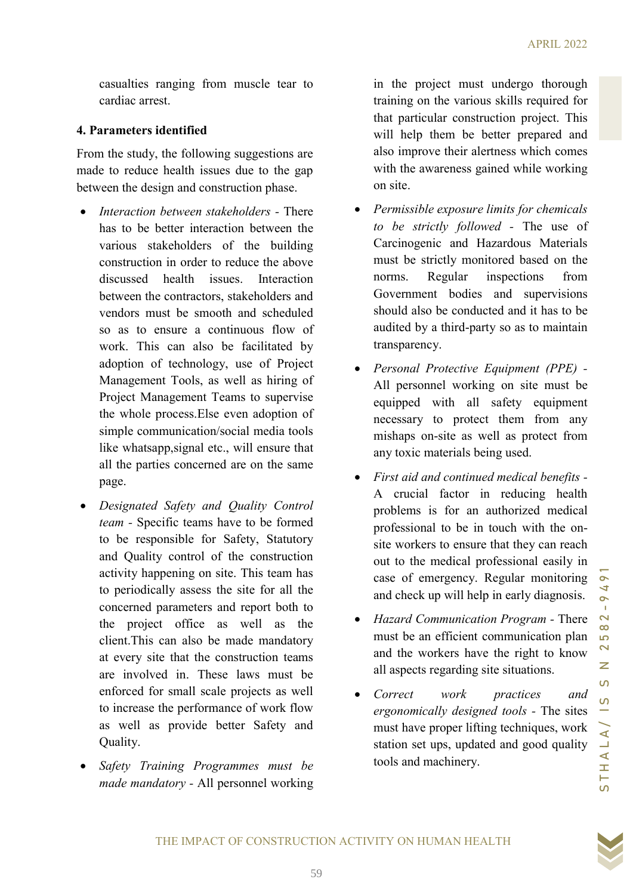casualties ranging from muscle tear to cardiac arrest.

# 4. Parameters identified

From the study, the following suggestions are made to reduce health issues due to the gap between the design and construction phase.

- Interaction between stakeholders There has to be better interaction between the various stakeholders of the building construction in order to reduce the above discussed health issues Interaction between the contractors, stakeholders and vendors must be smooth and scheduled so as to ensure a continuous flow of work. This can also be facilitated by adoption of technology, use of Project Management Tools, as well as hiring of Project Management Teams to supervise the whole process.Else even adoption of simple communication/social media tools like whatsapp,signal etc., will ensure that all the parties concerned are on the same page.
- Example and continued vectors and the state of the smooth and scheduled should also be conducted and it has to be<br>sust a continuous flow of the party so as to maintain<br>searce a continuous flow the smooth and scheduled by • Designated Safety and Ouality Control team - Specific teams have to be formed to be responsible for Safety, Statutory and Quality control of the construction activity happening on site. This team has to periodically assess the site for all the concerned parameters and report both to the project office as well as the client.This can also be made mandatory at every site that the construction teams are involved in. These laws must be enforced for small scale projects as well to increase the performance of work flow as well as provide better Safety and Quality.
- Safety Training Programmes must be made mandatory - All personnel working

in the project must undergo thorough training on the various skills required for that particular construction project. This will help them be better prepared and also improve their alertness which comes with the awareness gained while working on site.

- Permissible exposure limits for chemicals to be strictly followed - The use of Carcinogenic and Hazardous Materials must be strictly monitored based on the norms. Regular inspections from Government bodies and supervisions should also be conducted and it has to be audited by a third-party so as to maintain transparency.
- Personal Protective Equipment (PPE) All personnel working on site must be equipped with all safety equipment necessary to protect them from any mishaps on-site as well as protect from any toxic materials being used.
- First aid and continued medical benefits A crucial factor in reducing health problems is for an authorized medical professional to be in touch with the onsite workers to ensure that they can reach out to the medical professional easily in case of emergency. Regular monitoring and check up will help in early diagnosis.
- Hazard Communication Program There must be an efficient communication plan and the workers have the right to know all aspects regarding site situations.
- Correct work practices and ergonomically designed tools - The sites must have proper lifting techniques, work station set ups, updated and good quality tools and machinery.